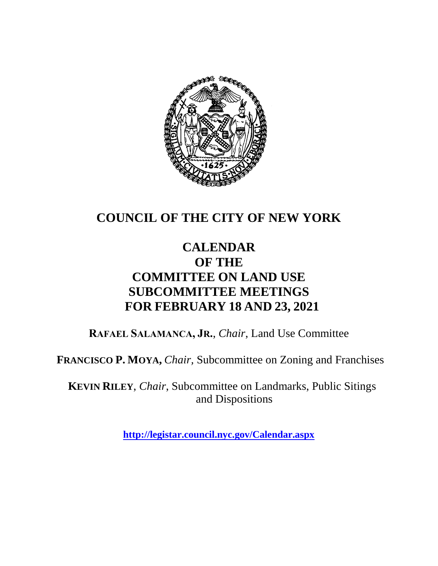

# **COUNCIL OF THE CITY OF NEW YORK**

# **CALENDAR OF THE COMMITTEE ON LAND USE SUBCOMMITTEE MEETINGS FOR FEBRUARY 18 AND 23, 2021**

**RAFAEL SALAMANCA, JR.**, *Chair*, Land Use Committee

**FRANCISCO P. MOYA,** *Chair,* Subcommittee on Zoning and Franchises

**KEVIN RILEY**, *Chair*, Subcommittee on Landmarks, Public Sitings and Dispositions

**<http://legistar.council.nyc.gov/Calendar.aspx>**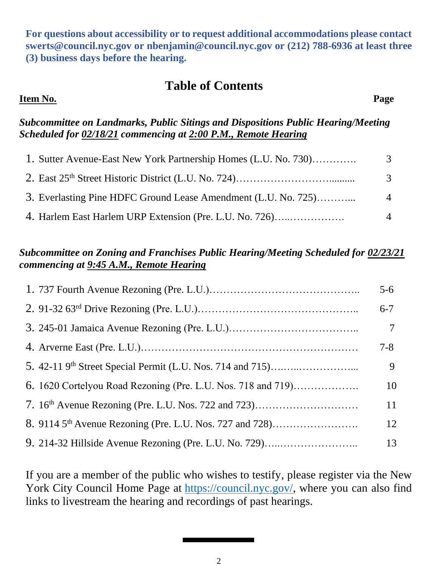**For questions about accessibility or to request additional accommodations please contact [swerts@council.nyc.gov](mailto:swerts@council.nyc.gov) or [nbenjamin@council.nyc.gov](mailto:nbenjamin@council.nyc.gov) or (212) 788-6936 at least three (3) business days before the hearing.**

## **Table of Contents**

### **Item No. Page**

### *Subcommittee on Landmarks, Public Sitings and Dispositions Public Hearing/Meeting Scheduled for 02/18/21 commencing at 2:00 P.M., Remote Hearing*

| 1. Sutter Avenue-East New York Partnership Homes (L.U. No. 730) | 3                  |
|-----------------------------------------------------------------|--------------------|
|                                                                 | $\mathcal{E}$      |
| 3. Everlasting Pine HDFC Ground Lease Amendment (L.U. No. 725)  | $\mathbf{\Lambda}$ |
| 4. Harlem East Harlem URP Extension (Pre. L.U. No. 726)         |                    |

### *Subcommittee on Zoning and Franchises Public Hearing/Meeting Scheduled for 02/23/21 commencing at 9:45 A.M., Remote Hearing*

|                                                              | $5 - 6$ |
|--------------------------------------------------------------|---------|
|                                                              | $6 - 7$ |
|                                                              |         |
|                                                              | $7 - 8$ |
|                                                              | 9       |
| 6. 1620 Cortelyou Road Rezoning (Pre. L.U. Nos. 718 and 719) | 10      |
|                                                              | 11      |
|                                                              | 12      |
| 9. 214-32 Hillside Avenue Rezoning (Pre. L.U. No. 729)       | 13      |

If you are a member of the public who wishes to testify, please register via the New York City Council Home Page at [https://council.nyc.gov/,](https://council.nyc.gov/) where you can also find links to livestream the hearing and recordings of past hearings.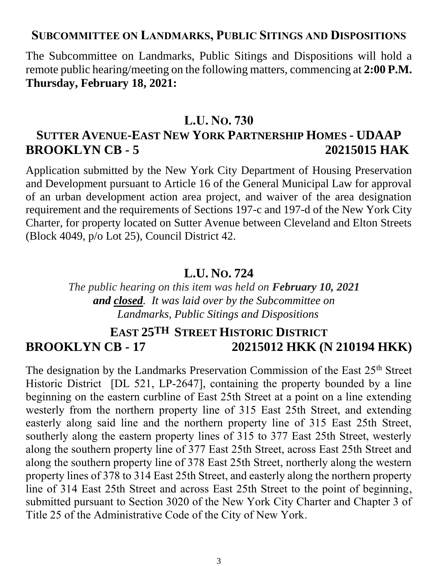### **SUBCOMMITTEE ON LANDMARKS, PUBLIC SITINGS AND DISPOSITIONS**

The Subcommittee on Landmarks, Public Sitings and Dispositions will hold a remote public hearing/meeting on the following matters, commencing at **2:00 P.M. Thursday, February 18, 2021:**

### **L.U. NO. 730**

# **SUTTER AVENUE-EAST NEW YORK PARTNERSHIP HOMES - UDAAP BROOKLYN CB - 5 20215015 HAK**

Application submitted by the New York City Department of Housing Preservation and Development pursuant to Article 16 of the General Municipal Law for approval of an urban development action area project, and waiver of the area designation requirement and the requirements of Sections 197-c and 197-d of the New York City Charter, for property located on Sutter Avenue between Cleveland and Elton Streets (Block 4049, p/o Lot 25), Council District 42.

### **L.U. NO. 724**

*The public hearing on this item was held on February 10, 2021 and closed. It was laid over by the Subcommittee on Landmarks, Public Sitings and Dispositions*

# **EAST 25TH STREET HISTORIC DISTRICT BROOKLYN CB - 17 20215012 HKK (N 210194 HKK)**

The designation by the Landmarks Preservation Commission of the East 25<sup>th</sup> Street Historic District [DL 521, LP-2647], containing the property bounded by a line beginning on the eastern curbline of East 25th Street at a point on a line extending westerly from the northern property line of 315 East 25th Street, and extending easterly along said line and the northern property line of 315 East 25th Street, southerly along the eastern property lines of 315 to 377 East 25th Street, westerly along the southern property line of 377 East 25th Street, across East 25th Street and along the southern property line of 378 East 25th Street, northerly along the western property lines of 378 to 314 East 25th Street, and easterly along the northern property line of 314 East 25th Street and across East 25th Street to the point of beginning, submitted pursuant to Section 3020 of the New York City Charter and Chapter 3 of Title 25 of the Administrative Code of the City of New York.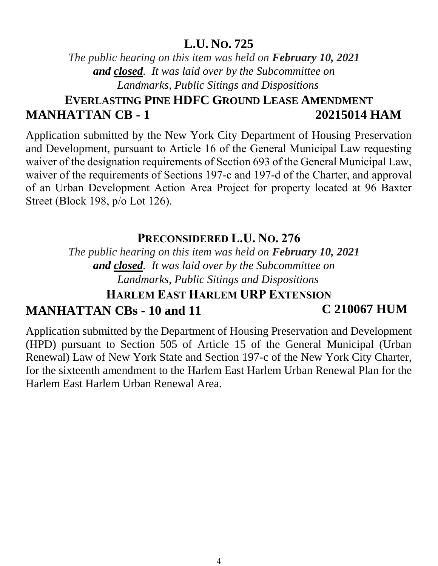## **L.U. NO. 725**

*The public hearing on this item was held on February 10, 2021 and closed. It was laid over by the Subcommittee on Landmarks, Public Sitings and Dispositions*

# **EVERLASTING PINE HDFC GROUND LEASE AMENDMENT MANHATTAN CB - 1 20215014 HAM**

Application submitted by the New York City Department of Housing Preservation and Development, pursuant to Article 16 of the General Municipal Law requesting waiver of the designation requirements of Section 693 of the General Municipal Law, waiver of the requirements of Sections 197-c and 197-d of the Charter, and approval of an Urban Development Action Area Project for property located at 96 Baxter Street (Block 198, p/o Lot 126).

## **PRECONSIDERED L.U. NO. 276**

*The public hearing on this item was held on February 10, 2021 and closed. It was laid over by the Subcommittee on Landmarks, Public Sitings and Dispositions*

# **HARLEM EAST HARLEM URP EXTENSION MANHATTAN CBs - 10 and 11 C 210067 HUM**

Application submitted by the Department of Housing Preservation and Development (HPD) pursuant to Section 505 of Article 15 of the General Municipal (Urban Renewal) Law of New York State and Section 197-c of the New York City Charter, for the sixteenth amendment to the Harlem East Harlem Urban Renewal Plan for the Harlem East Harlem Urban Renewal Area.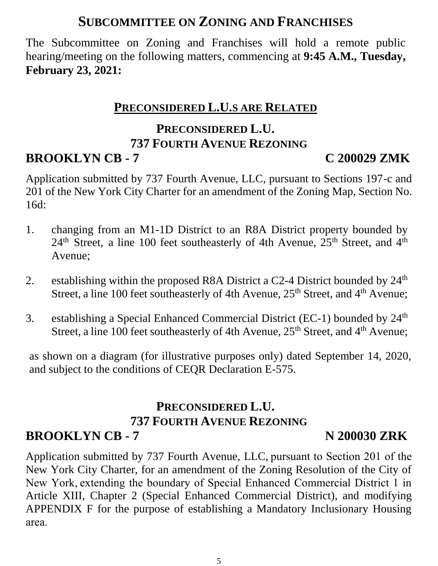# **SUBCOMMITTEE ON ZONING AND FRANCHISES**

The Subcommittee on Zoning and Franchises will hold a remote public hearing/meeting on the following matters, commencing at **9:45 A.M., Tuesday, February 23, 2021:**

# **PRECONSIDERED L.U.S ARE RELATED**

# **PRECONSIDERED L.U. 737 FOURTH AVENUE REZONING**

# **BROOKLYN CB - 7 C 200029 ZMK**

Application submitted by 737 Fourth Avenue, LLC, pursuant to Sections 197-c and 201 of the New York City Charter for an amendment of the Zoning Map, Section No. 16d:

- 1. changing from an M1-1D District to an R8A District property bounded by  $24<sup>th</sup>$  Street, a line 100 feet southeasterly of 4th Avenue,  $25<sup>th</sup>$  Street, and  $4<sup>th</sup>$ Avenue;
- 2. establishing within the proposed R8A District a C2-4 District bounded by  $24<sup>th</sup>$ Street, a line 100 feet southeasterly of 4th Avenue, 25<sup>th</sup> Street, and 4<sup>th</sup> Avenue;
- 3. establishing a Special Enhanced Commercial District (EC-1) bounded by 24th Street, a line 100 feet southeasterly of 4th Avenue, 25<sup>th</sup> Street, and 4<sup>th</sup> Avenue;

as shown on a diagram (for illustrative purposes only) dated September 14, 2020, and subject to the conditions of CEQR Declaration E-575.

## **PRECONSIDERED L.U. 737 FOURTH AVENUE REZONING BROOKLYN CB - 7** N 200030 ZRK

Application submitted by 737 Fourth Avenue, LLC, pursuant to Section 201 of the New York City Charter, for an amendment of the Zoning Resolution of the City of New York, extending the boundary of Special Enhanced Commercial District 1 in Article XIII, Chapter 2 (Special Enhanced Commercial District), and modifying APPENDIX F for the purpose of establishing a Mandatory Inclusionary Housing area.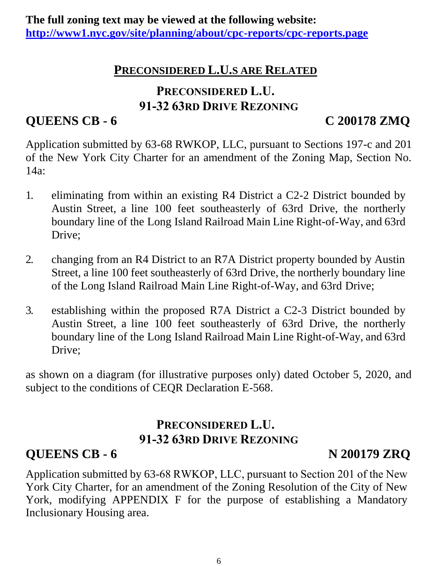## **PRECONSIDERED L.U.S ARE RELATED**

# **PRECONSIDERED L.U. 91-32 63RD DRIVE REZONING**

# **QUEENS CB - 6 C 200178 ZMQ**

Application submitted by 63-68 RWKOP, LLC, pursuant to Sections 197-c and 201 of the New York City Charter for an amendment of the Zoning Map, Section No. 14a:

- 1. eliminating from within an existing R4 District a C2-2 District bounded by Austin Street, a line 100 feet southeasterly of 63rd Drive, the northerly boundary line of the Long Island Railroad Main Line Right-of-Way, and 63rd Drive;
- 2. changing from an R4 District to an R7A District property bounded by Austin Street, a line 100 feet southeasterly of 63rd Drive, the northerly boundary line of the Long Island Railroad Main Line Right-of-Way, and 63rd Drive;
- 3. establishing within the proposed R7A District a C2-3 District bounded by Austin Street, a line 100 feet southeasterly of 63rd Drive, the northerly boundary line of the Long Island Railroad Main Line Right-of-Way, and 63rd Drive;

as shown on a diagram (for illustrative purposes only) dated October 5, 2020, and subject to the conditions of CEQR Declaration E-568.

# **PRECONSIDERED L.U. 91-32 63RD DRIVE REZONING**

# **QUEENS CB - 6 N 200179 ZRQ**

Application submitted by 63-68 RWKOP, LLC, pursuant to Section 201 of the New York City Charter, for an amendment of the Zoning Resolution of the City of New York, modifying APPENDIX F for the purpose of establishing a Mandatory Inclusionary Housing area.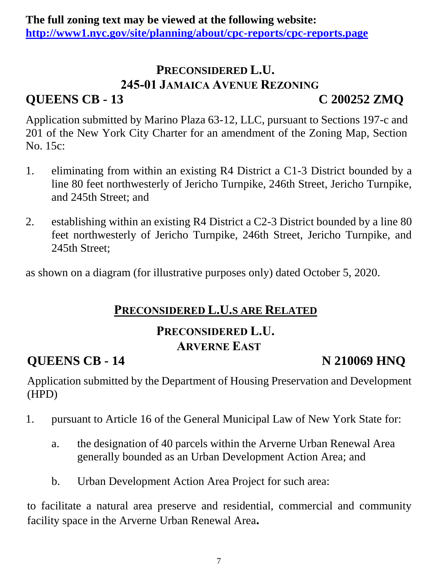## **PRECONSIDERED L.U. 245-01 JAMAICA AVENUE REZONING QUEENS CB - 13 C 200252 ZMQ**

Application submitted by Marino Plaza 63-12, LLC, pursuant to Sections 197-c and 201 of the New York City Charter for an amendment of the Zoning Map, Section No. 15c:

- 1. eliminating from within an existing R4 District a C1-3 District bounded by a line 80 feet northwesterly of Jericho Turnpike, 246th Street, Jericho Turnpike, and 245th Street; and
- 2. establishing within an existing R4 District a C2-3 District bounded by a line 80 feet northwesterly of Jericho Turnpike, 246th Street, Jericho Turnpike, and 245th Street;

as shown on a diagram (for illustrative purposes only) dated October 5, 2020.

## **PRECONSIDERED L.U.S ARE RELATED**

## **PRECONSIDERED L.U. ARVERNE EAST**

# **OUEENS CB - 14** N 210069 HNQ

Application submitted by the Department of Housing Preservation and Development (HPD)

- 1. pursuant to Article 16 of the General Municipal Law of New York State for:
	- a. the designation of 40 parcels within the Arverne Urban Renewal Area generally bounded as an Urban Development Action Area; and
	- b. Urban Development Action Area Project for such area:

to facilitate a natural area preserve and residential, commercial and community facility space in the Arverne Urban Renewal Area**.**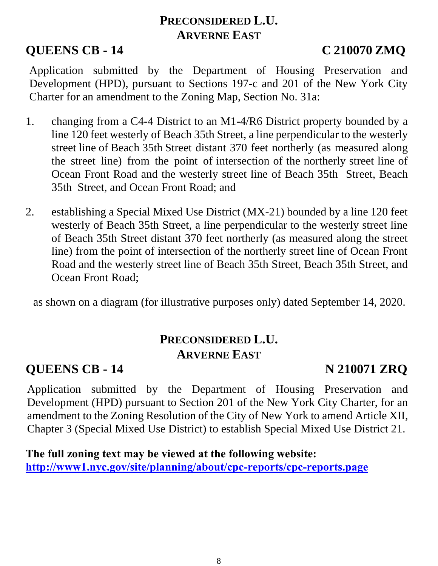# **PRECONSIDERED L.U. ARVERNE EAST**

# **QUEENS CB - 14 C 210070 ZMQ**

Application submitted by the Department of Housing Preservation and Development (HPD), pursuant to Sections 197-c and 201 of the New York City Charter for an amendment to the Zoning Map, Section No. 31a:

- 1. changing from a C4-4 District to an M1-4/R6 District property bounded by a line 120 feet westerly of Beach 35th Street, a line perpendicular to the westerly street line of Beach 35th Street distant 370 feet northerly (as measured along the street line) from the point of intersection of the northerly street line of Ocean Front Road and the westerly street line of Beach 35th Street, Beach 35th Street, and Ocean Front Road; and
- 2. establishing a Special Mixed Use District (MX-21) bounded by a line 120 feet westerly of Beach 35th Street, a line perpendicular to the westerly street line of Beach 35th Street distant 370 feet northerly (as measured along the street line) from the point of intersection of the northerly street line of Ocean Front Road and the westerly street line of Beach 35th Street, Beach 35th Street, and Ocean Front Road;

as shown on a diagram (for illustrative purposes only) dated September 14, 2020.

# **PRECONSIDERED L.U. ARVERNE EAST**

# **QUEENS CB - 14 N 210071 ZRQ**

Application submitted by the Department of Housing Preservation and Development (HPD) pursuant to Section 201 of the New York City Charter, for an amendment to the Zoning Resolution of the City of New York to amend Article XII, Chapter 3 (Special Mixed Use District) to establish Special Mixed Use District 21.

**The full zoning text may be viewed at the following website: <http://www1.nyc.gov/site/planning/about/cpc-reports/cpc-reports.page>**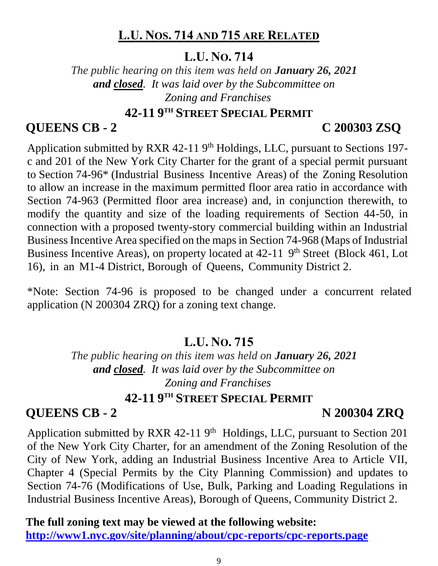## **L.U. NOS. 714 AND 715 ARE RELATED**

## **L.U. NO. 714**

*The public hearing on this item was held on January 26, 2021 and closed. It was laid over by the Subcommittee on Zoning and Franchises*

## **42-11 9 TH STREET SPECIAL PERMIT**

# **QUEENS CB - 2 C 200303 ZSQ**

Application submitted by RXR 42-11 9<sup>th</sup> Holdings, LLC, pursuant to Sections 197c and 201 of the New York City Charter for the grant of a special permit pursuant to Section 74-96\* (Industrial Business Incentive Areas) of the Zoning Resolution to allow an increase in the maximum permitted floor area ratio in accordance with Section 74-963 (Permitted floor area increase) and, in conjunction therewith, to modify the quantity and size of the loading requirements of Section 44-50, in connection with a proposed twenty-story commercial building within an Industrial Business Incentive Area specified on the maps in Section 74-968 (Maps of Industrial Business Incentive Areas), on property located at 42-11 9<sup>th</sup> Street (Block 461, Lot 16), in an M1-4 District, Borough of Queens, Community District 2.

\*Note: Section 74-96 is proposed to be changed under a concurrent related application (N 200304 ZRQ) for a zoning text change.

# **L.U. NO. 715**

*The public hearing on this item was held on January 26, 2021 and closed. It was laid over by the Subcommittee on Zoning and Franchises*

## **42-11 9 TH STREET SPECIAL PERMIT**

# **QUEENS CB - 2 N 200304 ZRQ**

Application submitted by RXR  $42-11$  9<sup>th</sup> Holdings, LLC, pursuant to Section 201 of the New York City Charter, for an amendment of the Zoning Resolution of the City of New York, adding an Industrial Business Incentive Area to Article VII, Chapter 4 (Special Permits by the City Planning Commission) and updates to Section 74-76 (Modifications of Use, Bulk, Parking and Loading Regulations in Industrial Business Incentive Areas), Borough of Queens, Community District 2.

**The full zoning text may be viewed at the following website: <http://www1.nyc.gov/site/planning/about/cpc-reports/cpc-reports.page>**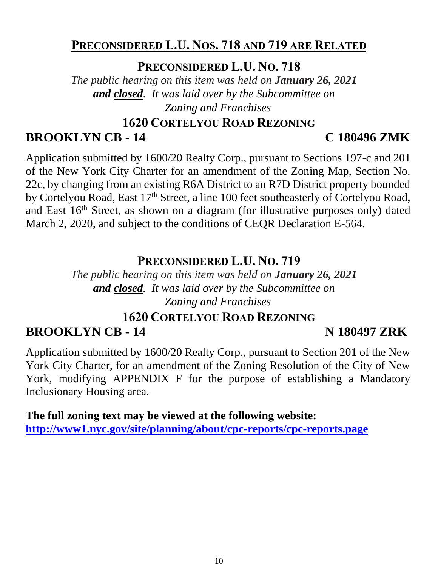## **PRECONSIDERED L.U. NOS. 718 AND 719 ARE RELATED**

**PRECONSIDERED L.U. NO. 718**

*The public hearing on this item was held on January 26, 2021 and closed. It was laid over by the Subcommittee on Zoning and Franchises*

### **1620 CORTELYOU ROAD REZONING**

# **BROOKLYN CB - 14 C 180496 ZMK**

Application submitted by 1600/20 Realty Corp., pursuant to Sections 197-c and 201 of the New York City Charter for an amendment of the Zoning Map, Section No. 22c, by changing from an existing R6A District to an R7D District property bounded by Cortelyou Road, East 17<sup>th</sup> Street, a line 100 feet southeasterly of Cortelyou Road, and East 16<sup>th</sup> Street, as shown on a diagram (for illustrative purposes only) dated March 2, 2020, and subject to the conditions of CEQR Declaration E-564.

## **PRECONSIDERED L.U. NO. 719**

*The public hearing on this item was held on January 26, 2021 and closed. It was laid over by the Subcommittee on Zoning and Franchises*

# **1620 CORTELYOU ROAD REZONING BROOKLYN CB - 14 N 180497 ZRK**

Application submitted by 1600/20 Realty Corp., pursuant to Section 201 of the New York City Charter, for an amendment of the Zoning Resolution of the City of New York, modifying APPENDIX F for the purpose of establishing a Mandatory Inclusionary Housing area.

**The full zoning text may be viewed at the following website: <http://www1.nyc.gov/site/planning/about/cpc-reports/cpc-reports.page>**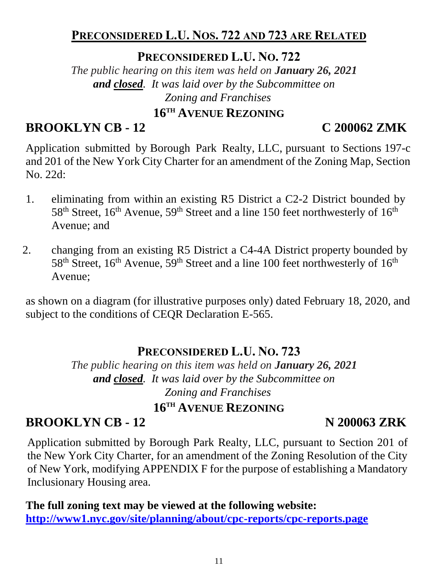## **PRECONSIDERED L.U. NOS. 722 AND 723 ARE RELATED**

**PRECONSIDERED L.U. NO. 722**

*The public hearing on this item was held on January 26, 2021 and closed. It was laid over by the Subcommittee on Zoning and Franchises*

# **16TH AVENUE REZONING**

# **BROOKLYN CB - 12 C 200062 ZMK**

Application submitted by Borough Park Realty, LLC, pursuant to Sections 197-c and 201 of the New York City Charter for an amendment of the Zoning Map, Section No. 22d:

- 1. eliminating from within an existing R5 District a C2-2 District bounded by 58<sup>th</sup> Street, 16<sup>th</sup> Avenue, 59<sup>th</sup> Street and a line 150 feet northwesterly of 16<sup>th</sup> Avenue; and
- 2. changing from an existing R5 District a C4-4A District property bounded by 58<sup>th</sup> Street, 16<sup>th</sup> Avenue, 59<sup>th</sup> Street and a line 100 feet northwesterly of 16<sup>th</sup> Avenue;

as shown on a diagram (for illustrative purposes only) dated February 18, 2020, and subject to the conditions of CEQR Declaration E-565.

## **PRECONSIDERED L.U. NO. 723**

*The public hearing on this item was held on January 26, 2021 and closed. It was laid over by the Subcommittee on Zoning and Franchises*

## **16TH AVENUE REZONING**

# **BROOKLYN CB - 12 N 200063 ZRK**

Application submitted by Borough Park Realty, LLC, pursuant to Section 201 of the New York City Charter, for an amendment of the Zoning Resolution of the City of New York, modifying APPENDIX F for the purpose of establishing a Mandatory Inclusionary Housing area.

**The full zoning text may be viewed at the following website: <http://www1.nyc.gov/site/planning/about/cpc-reports/cpc-reports.page>**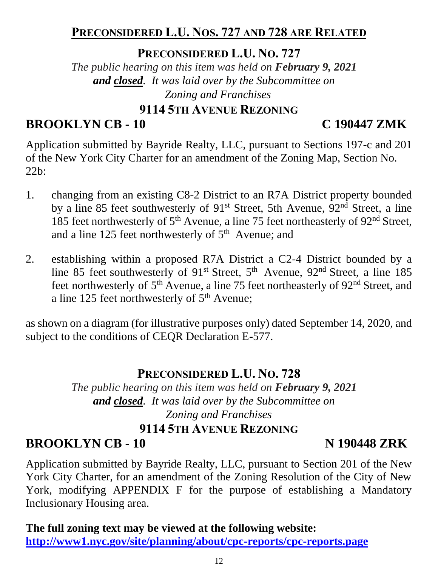## **PRECONSIDERED L.U. NOS. 727 AND 728 ARE RELATED**

**PRECONSIDERED L.U. NO. 727**

*The public hearing on this item was held on February 9, 2021 and closed. It was laid over by the Subcommittee on Zoning and Franchises*

## **9114 5TH AVENUE REZONING**

# **BROOKLYN CB - 10 C 190447 ZMK**

Application submitted by Bayride Realty, LLC, pursuant to Sections 197-c and 201 of the New York City Charter for an amendment of the Zoning Map, Section No. 22b:

- 1. changing from an existing C8-2 District to an R7A District property bounded by a line 85 feet southwesterly of 91st Street, 5th Avenue, 92nd Street, a line 185 feet northwesterly of  $5<sup>th</sup>$  Avenue, a line 75 feet northeasterly of  $92<sup>nd</sup>$  Street, and a line 125 feet northwesterly of  $5<sup>th</sup>$  Avenue; and
- 2. establishing within a proposed R7A District a C2-4 District bounded by a line 85 feet southwesterly of 91<sup>st</sup> Street, 5<sup>th</sup> Avenue, 92<sup>nd</sup> Street, a line 185 feet northwesterly of 5<sup>th</sup> Avenue, a line 75 feet northeasterly of 92<sup>nd</sup> Street, and a line 125 feet northwesterly of  $5<sup>th</sup>$  Avenue;

as shown on a diagram (for illustrative purposes only) dated September 14, 2020, and subject to the conditions of CEQR Declaration E-577.

## **PRECONSIDERED L.U. NO. 728**

*The public hearing on this item was held on February 9, 2021 and closed. It was laid over by the Subcommittee on Zoning and Franchises* **9114 5TH AVENUE REZONING**

**BROOKLYN CB - 10 N 190448 ZRK**

Application submitted by Bayride Realty, LLC, pursuant to Section 201 of the New York City Charter, for an amendment of the Zoning Resolution of the City of New York, modifying APPENDIX F for the purpose of establishing a Mandatory Inclusionary Housing area.

## **The full zoning text may be viewed at the following website: <http://www1.nyc.gov/site/planning/about/cpc-reports/cpc-reports.page>**